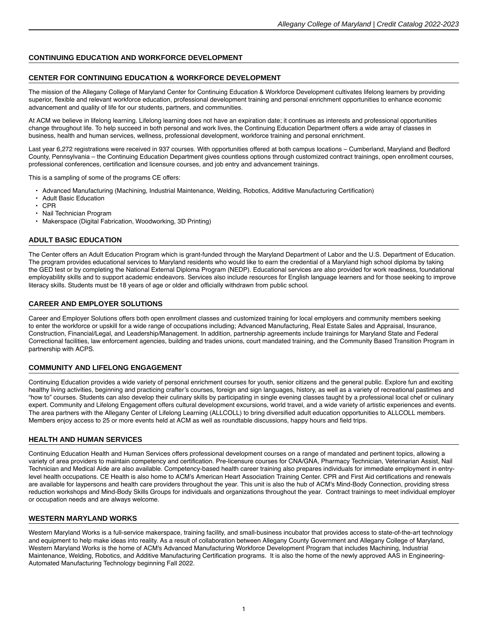# **CONTINUING EDUCATION AND WORKFORCE DEVELOPMENT**

## **CENTER FOR CONTINUING EDUCATION & WORKFORCE DEVELOPMENT**

The mission of the Allegany College of Maryland Center for Continuing Education & Workforce Development cultivates lifelong learners by providing superior, flexible and relevant workforce education, professional development training and personal enrichment opportunities to enhance economic advancement and quality of life for our students, partners, and communities.

At ACM we believe in lifelong learning. Lifelong learning does not have an expiration date; it continues as interests and professional opportunities change throughout life. To help succeed in both personal and work lives, the Continuing Education Department offers a wide array of classes in business, health and human services, wellness, professional development, workforce training and personal enrichment.

Last year 6,272 registrations were received in 937 courses. With opportunities offered at both campus locations – Cumberland, Maryland and Bedford County, Pennsylvania – the Continuing Education Department gives countless options through customized contract trainings, open enrollment courses, professional conferences, certification and licensure courses, and job entry and advancement trainings.

This is a sampling of some of the programs CE offers:

- Advanced Manufacturing (Machining, Industrial Maintenance, Welding, Robotics, Additive Manufacturing Certification)
- Adult Basic Education
- CPR
- Nail Technician Program
- Makerspace (Digital Fabrication, Woodworking, 3D Printing)

#### **ADULT BASIC EDUCATION**

The Center offers an Adult Education Program which is grant-funded through the Maryland Department of Labor and the U.S. Department of Education. The program provides educational services to Maryland residents who would like to earn the credential of a Maryland high school diploma by taking the GED test or by completing the National External Diploma Program (NEDP). Educational services are also provided for work readiness, foundational employability skills and to support academic endeavors. Services also include resources for English language learners and for those seeking to improve literacy skills. Students must be 18 years of age or older and officially withdrawn from public school.

## **CAREER AND EMPLOYER SOLUTIONS**

Career and Employer Solutions offers both open enrollment classes and customized training for local employers and community members seeking to enter the workforce or upskill for a wide range of occupations including; Advanced Manufacturing, Real Estate Sales and Appraisal, Insurance, Construction, Financial/Legal, and Leadership/Management. In addition, partnership agreements include trainings for Maryland State and Federal Correctional facilities, law enforcement agencies, building and trades unions, court mandated training, and the Community Based Transition Program in partnership with ACPS.

## **COMMUNITY AND LIFELONG ENGAGEMENT**

Continuing Education provides a wide variety of personal enrichment courses for youth, senior citizens and the general public. Explore fun and exciting healthy living activities, beginning and practicing crafter's courses, foreign and sign languages, history, as well as a variety of recreational pastimes and "how to" courses. Students can also develop their culinary skills by participating in single evening classes taught by a professional local chef or culinary expert. Community and Lifelong Engagement offers cultural development excursions, world travel, and a wide variety of artistic experiences and events. The area partners with the Allegany Center of Lifelong Learning (ALLCOLL) to bring diversified adult education opportunities to ALLCOLL members. Members enjoy access to 25 or more events held at ACM as well as roundtable discussions, happy hours and field trips.

#### **HEALTH AND HUMAN SERVICES**

Continuing Education Health and Human Services offers professional development courses on a range of mandated and pertinent topics, allowing a variety of area providers to maintain competency and certification. Pre-licensure courses for CNA/GNA, Pharmacy Technician, Veterinarian Assist, Nail Technician and Medical Aide are also available. Competency-based health career training also prepares individuals for immediate employment in entrylevel health occupations. CE Health is also home to ACM's American Heart Association Training Center. CPR and First Aid certifications and renewals are available for laypersons and health care providers throughout the year. This unit is also the hub of ACM's Mind-Body Connection, providing stress reduction workshops and Mind-Body Skills Groups for individuals and organizations throughout the year. Contract trainings to meet individual employer or occupation needs and are always welcome.

#### **WESTERN MARYLAND WORKS**

Western Maryland Works is a full-service makerspace, training facility, and small-business incubator that provides access to state-of-the-art technology and equipment to help make ideas into reality. As a result of collaboration between Allegany County Government and Allegany College of Maryland, Western Maryland Works is the home of ACM's Advanced Manufacturing Workforce Development Program that includes Machining, Industrial Maintenance, Welding, Robotics, and Additive Manufacturing Certification programs. It is also the home of the newly approved AAS in [Engineering-](https://www.allegany.edu/engineering-automated-manufacturing-tech/index.html)Automated [Manufacturing](https://www.allegany.edu/engineering-automated-manufacturing-tech/index.html) Technology beginning Fall 2022.